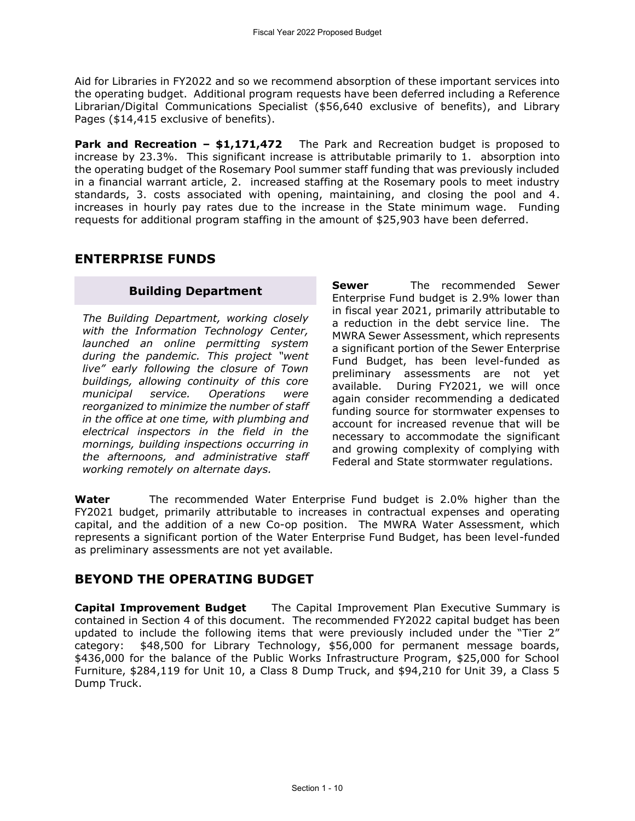Aid for Libraries in FY2022 and so we recommend absorption of these important services into the operating budget. Additional program requests have been deferred including a Reference Librarian/Digital Communications Specialist (\$56,640 exclusive of benefits), and Library Pages (\$14,415 exclusive of benefits).

**Park and Recreation – \$1,171,472** The Park and Recreation budget is proposed to increase by 23.3%. This significant increase is attributable primarily to 1. absorption into the operating budget of the Rosemary Pool summer staff funding that was previously included in a financial warrant article, 2. increased staffing at the Rosemary pools to meet industry standards, 3. costs associated with opening, maintaining, and closing the pool and 4. increases in hourly pay rates due to the increase in the State minimum wage. Funding requests for additional program staffing in the amount of \$25,903 have been deferred.

# **ENTERPRISE FUNDS**

## **Building Department**

*The Building Department, working closely with the Information Technology Center, launched an online permitting system during the pandemic. This project "went live" early following the closure of Town buildings, allowing continuity of this core municipal service. Operations were reorganized to minimize the number of staff in the office at one time, with plumbing and electrical inspectors in the field in the mornings, building inspections occurring in the afternoons, and administrative staff working remotely on alternate days.* 

**Sewer** The recommended Sewer Enterprise Fund budget is 2.9% lower than in fiscal year 2021, primarily attributable to a reduction in the debt service line. The MWRA Sewer Assessment, which represents a significant portion of the Sewer Enterprise Fund Budget, has been level-funded as preliminary assessments are not yet available. During FY2021, we will once again consider recommending a dedicated funding source for stormwater expenses to account for increased revenue that will be necessary to accommodate the significant and growing complexity of complying with Federal and State stormwater regulations.

**Water** The recommended Water Enterprise Fund budget is 2.0% higher than the FY2021 budget, primarily attributable to increases in contractual expenses and operating capital, and the addition of a new Co-op position. The MWRA Water Assessment, which represents a significant portion of the Water Enterprise Fund Budget, has been level-funded as preliminary assessments are not yet available.

# **BEYOND THE OPERATING BUDGET**

**Capital Improvement Budget** The Capital Improvement Plan Executive Summary is contained in Section 4 of this document. The recommended FY2022 capital budget has been updated to include the following items that were previously included under the "Tier 2" category: \$48,500 for Library Technology, \$56,000 for permanent message boards, \$436,000 for the balance of the Public Works Infrastructure Program, \$25,000 for School Furniture, \$284,119 for Unit 10, a Class 8 Dump Truck, and \$94,210 for Unit 39, a Class 5 Dump Truck.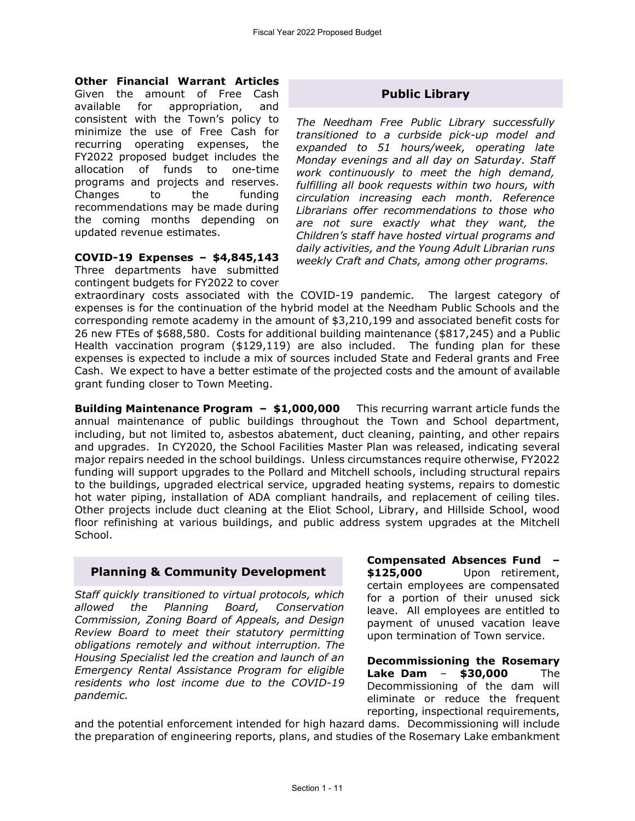#### **Other Financial Warrant Articles**

Given the amount of Free Cash available for appropriation, and consistent with the Town's policy to minimize the use of Free Cash for recurring operating expenses, the FY2022 proposed budget includes the allocation of funds to one-time programs and projects and reserves. Changes to the funding recommendations may be made during the coming months depending on updated revenue estimates.

**COVID-19 Expenses – \$4,845,143** Three departments have submitted contingent budgets for FY2022 to cover

## **Public Library**

*The Needham Free Public Library successfully transitioned to a curbside pick-up model and expanded to 51 hours/week, operating late Monday evenings and all day on Saturday. Staff work continuously to meet the high demand, fulfilling all book requests within two hours, with circulation increasing each month. Reference Librarians offer recommendations to those who are not sure exactly what they want, the Children's staff have hosted virtual programs and daily activities, and the Young Adult Librarian runs weekly Craft and Chats, among other programs.*

extraordinary costs associated with the COVID-19 pandemic. The largest category of expenses is for the continuation of the hybrid model at the Needham Public Schools and the corresponding remote academy in the amount of \$3,210,199 and associated benefit costs for 26 new FTEs of \$688,580. Costs for additional building maintenance (\$817,245) and a Public Health vaccination program (\$129,119) are also included. The funding plan for these expenses is expected to include a mix of sources included State and Federal grants and Free Cash. We expect to have a better estimate of the projected costs and the amount of available grant funding closer to Town Meeting.

**Building Maintenance Program – \$1,000,000** This recurring warrant article funds the annual maintenance of public buildings throughout the Town and School department, including, but not limited to, asbestos abatement, duct cleaning, painting, and other repairs and upgrades. In CY2020, the School Facilities Master Plan was released, indicating several major repairs needed in the school buildings. Unless circumstances require otherwise, FY2022 funding will support upgrades to the Pollard and Mitchell schools, including structural repairs to the buildings, upgraded electrical service, upgraded heating systems, repairs to domestic hot water piping, installation of ADA compliant handrails, and replacement of ceiling tiles. Other projects include duct cleaning at the Eliot School, Library, and Hillside School, wood floor refinishing at various buildings, and public address system upgrades at the Mitchell School.

# **Planning & Community Development**

*Staff quickly transitioned to virtual protocols, which allowed the Planning Board, Conservation Commission, Zoning Board of Appeals, and Design Review Board to meet their statutory permitting obligations remotely and without interruption. The Housing Specialist led the creation and launch of an Emergency Rental Assistance Program for eligible residents who lost income due to the COVID-19 pandemic.* 

**Compensated Absences Fund – \$125,000** Upon retirement, certain employees are compensated for a portion of their unused sick leave. All employees are entitled to payment of unused vacation leave upon termination of Town service.

**Decommissioning the Rosemary Lake Dam** – **\$30,000** The Decommissioning of the dam will eliminate or reduce the frequent reporting, inspectional requirements,

and the potential enforcement intended for high hazard dams. Decommissioning will include the preparation of engineering reports, plans, and studies of the Rosemary Lake embankment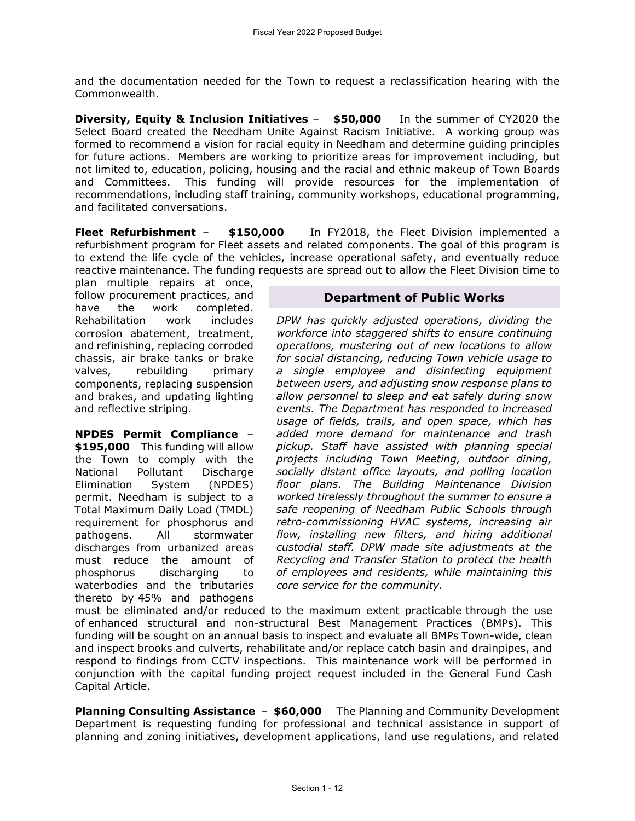and the documentation needed for the Town to request a reclassification hearing with the Commonwealth.

**Diversity, Equity & Inclusion Initiatives** – **\$50,000** In the summer of CY2020 the Select Board created the Needham Unite Against Racism Initiative. A working group was formed to recommend a vision for racial equity in Needham and determine guiding principles for future actions. Members are working to prioritize areas for improvement including, but not limited to, education, policing, housing and the racial and ethnic makeup of Town Boards and Committees. This funding will provide resources for the implementation of recommendations, including staff training, community workshops, educational programming, and facilitated conversations.

**Fleet Refurbishment** – **\$150,000** In FY2018, the Fleet Division implemented a refurbishment program for Fleet assets and related components. The goal of this program is to extend the life cycle of the vehicles, increase operational safety, and eventually reduce reactive maintenance. The funding requests are spread out to allow the Fleet Division time to

plan multiple repairs at once, follow procurement practices, and have the work completed. Rehabilitation work includes corrosion abatement, treatment, and refinishing, replacing corroded chassis, air brake tanks or brake valves, rebuilding primary components, replacing suspension and brakes, and updating lighting and reflective striping.

**NPDES Permit Compliance** – **\$195,000** This funding will allow the Town to comply with the National Pollutant Discharge Elimination System (NPDES) permit. Needham is subject to a Total Maximum Daily Load (TMDL) requirement for phosphorus and pathogens. All stormwater discharges from urbanized areas must reduce the amount of phosphorus discharging to waterbodies and the tributaries thereto by 45% and pathogens

## **Department of Public Works**

*DPW has quickly adjusted operations, dividing the workforce into staggered shifts to ensure continuing operations, mustering out of new locations to allow for social distancing, reducing Town vehicle usage to a single employee and disinfecting equipment between users, and adjusting snow response plans to allow personnel to sleep and eat safely during snow events. The Department has responded to increased usage of fields, trails, and open space, which has added more demand for maintenance and trash pickup. Staff have assisted with planning special projects including Town Meeting, outdoor dining, socially distant office layouts, and polling location floor plans. The Building Maintenance Division worked tirelessly throughout the summer to ensure a safe reopening of Needham Public Schools through retro-commissioning HVAC systems, increasing air flow, installing new filters, and hiring additional custodial staff. DPW made site adjustments at the Recycling and Transfer Station to protect the health of employees and residents, while maintaining this core service for the community.* 

must be eliminated and/or reduced to the maximum extent practicable through the use of enhanced structural and non-structural Best Management Practices (BMPs). This funding will be sought on an annual basis to inspect and evaluate all BMPs Town-wide, clean and inspect brooks and culverts, rehabilitate and/or replace catch basin and drainpipes, and respond to findings from CCTV inspections. This maintenance work will be performed in conjunction with the capital funding project request included in the General Fund Cash Capital Article.

**Planning Consulting Assistance** – **\$60,000** The Planning and Community Development Department is requesting funding for professional and technical assistance in support of planning and zoning initiatives, development applications, land use regulations, and related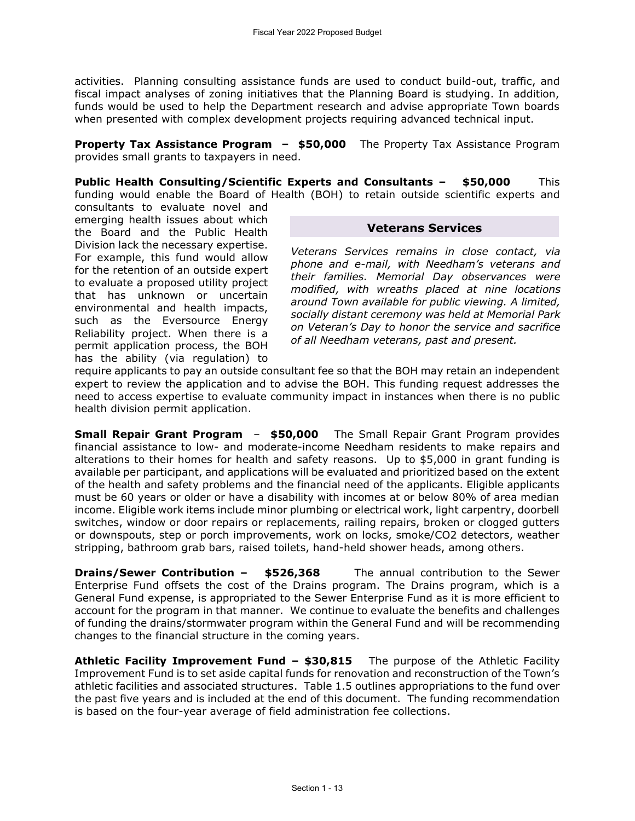activities. Planning consulting assistance funds are used to conduct build-out, traffic, and fiscal impact analyses of zoning initiatives that the Planning Board is studying. In addition, funds would be used to help the Department research and advise appropriate Town boards when presented with complex development projects requiring advanced technical input.

**Property Tax Assistance Program – \$50,000** The Property Tax Assistance Program provides small grants to taxpayers in need.

**Public Health Consulting/Scientific Experts and Consultants – \$50,000** This funding would enable the Board of Health (BOH) to retain outside scientific experts and

consultants to evaluate novel and emerging health issues about which the Board and the Public Health Division lack the necessary expertise. For example, this fund would allow for the retention of an outside expert to evaluate a proposed utility project that has unknown or uncertain environmental and health impacts, such as the Eversource Energy Reliability project. When there is a permit application process, the BOH has the ability (via regulation) to

## **Veterans Services**

*Veterans Services remains in close contact, via phone and e-mail, with Needham's veterans and their families. Memorial Day observances were modified, with wreaths placed at nine locations around Town available for public viewing. A limited, socially distant ceremony was held at Memorial Park on Veteran's Day to honor the service and sacrifice of all Needham veterans, past and present.* 

require applicants to pay an outside consultant fee so that the BOH may retain an independent expert to review the application and to advise the BOH. This funding request addresses the need to access expertise to evaluate community impact in instances when there is no public health division permit application.

**Small Repair Grant Program** – **\$50,000** The Small Repair Grant Program provides financial assistance to low- and moderate-income Needham residents to make repairs and alterations to their homes for health and safety reasons. Up to \$5,000 in grant funding is available per participant, and applications will be evaluated and prioritized based on the extent of the health and safety problems and the financial need of the applicants. Eligible applicants must be 60 years or older or have a disability with incomes at or below 80% of area median income. Eligible work items include minor plumbing or electrical work, light carpentry, doorbell switches, window or door repairs or replacements, railing repairs, broken or clogged gutters or downspouts, step or porch improvements, work on locks, smoke/CO2 detectors, weather stripping, bathroom grab bars, raised toilets, hand-held shower heads, among others.

**Drains/Sewer Contribution – \$526,368** The annual contribution to the Sewer Enterprise Fund offsets the cost of the Drains program. The Drains program, which is a General Fund expense, is appropriated to the Sewer Enterprise Fund as it is more efficient to account for the program in that manner. We continue to evaluate the benefits and challenges of funding the drains/stormwater program within the General Fund and will be recommending changes to the financial structure in the coming years.

**Athletic Facility Improvement Fund – \$30,815** The purpose of the Athletic Facility Improvement Fund is to set aside capital funds for renovation and reconstruction of the Town's athletic facilities and associated structures. Table 1.5 outlines appropriations to the fund over the past five years and is included at the end of this document. The funding recommendation is based on the four-year average of field administration fee collections.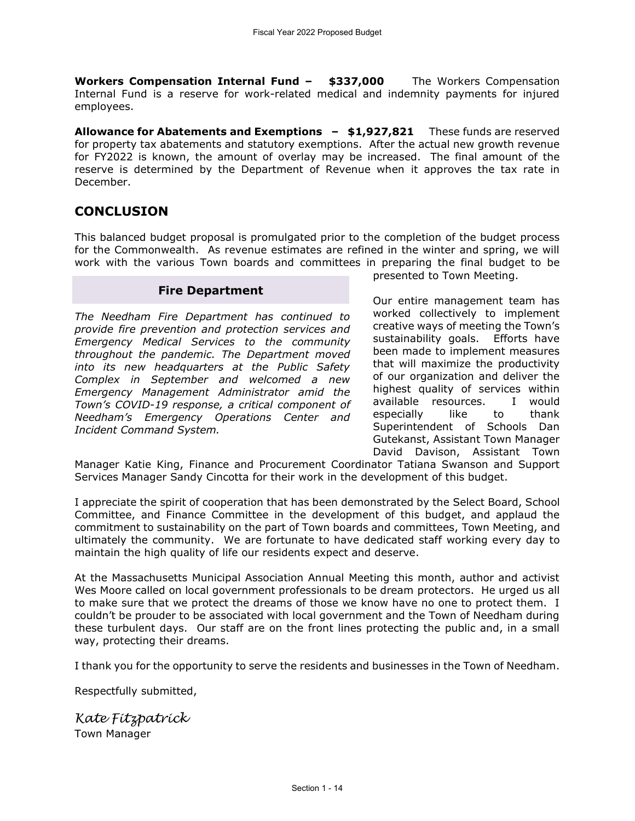**Workers Compensation Internal Fund – \$337,000** The Workers Compensation Internal Fund is a reserve for work-related medical and indemnity payments for injured employees.

**Allowance for Abatements and Exemptions – \$1,927,821** These funds are reserved for property tax abatements and statutory exemptions. After the actual new growth revenue for FY2022 is known, the amount of overlay may be increased. The final amount of the reserve is determined by the Department of Revenue when it approves the tax rate in December.

# **CONCLUSION**

This balanced budget proposal is promulgated prior to the completion of the budget process for the Commonwealth. As revenue estimates are refined in the winter and spring, we will work with the various Town boards and committees in preparing the final budget to be

## **Fire Department**

*The Needham Fire Department has continued to provide fire prevention and protection services and Emergency Medical Services to the community throughout the pandemic. The Department moved into its new headquarters at the Public Safety Complex in September and welcomed a new Emergency Management Administrator amid the Town's COVID-19 response, a critical component of Needham's Emergency Operations Center and Incident Command System.* 

presented to Town Meeting.

Our entire management team has worked collectively to implement creative ways of meeting the Town's sustainability goals. Efforts have been made to implement measures that will maximize the productivity of our organization and deliver the highest quality of services within available resources. I would especially like to thank Superintendent of Schools Dan Gutekanst, Assistant Town Manager David Davison, Assistant Town

Manager Katie King, Finance and Procurement Coordinator Tatiana Swanson and Support Services Manager Sandy Cincotta for their work in the development of this budget.

I appreciate the spirit of cooperation that has been demonstrated by the Select Board, School Committee, and Finance Committee in the development of this budget, and applaud the commitment to sustainability on the part of Town boards and committees, Town Meeting, and ultimately the community. We are fortunate to have dedicated staff working every day to maintain the high quality of life our residents expect and deserve.

At the Massachusetts Municipal Association Annual Meeting this month, author and activist Wes Moore called on local government professionals to be dream protectors. He urged us all to make sure that we protect the dreams of those we know have no one to protect them. I couldn't be prouder to be associated with local government and the Town of Needham during these turbulent days. Our staff are on the front lines protecting the public and, in a small way, protecting their dreams.

I thank you for the opportunity to serve the residents and businesses in the Town of Needham.

Respectfully submitted,

*Kate Fitzpatrick* Town Manager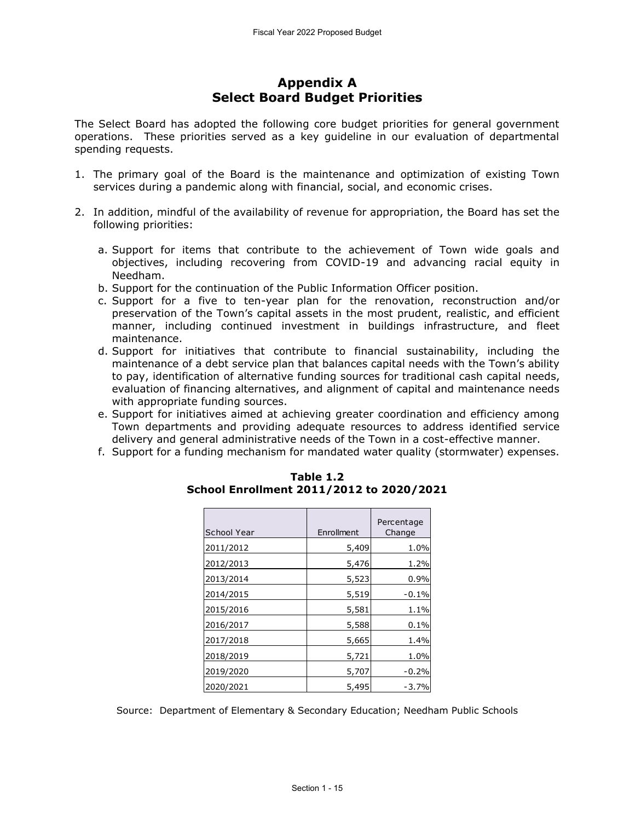# **Appendix A Select Board Budget Priorities**

The Select Board has adopted the following core budget priorities for general government operations. These priorities served as a key guideline in our evaluation of departmental spending requests.

- 1. The primary goal of the Board is the maintenance and optimization of existing Town services during a pandemic along with financial, social, and economic crises.
- 2. In addition, mindful of the availability of revenue for appropriation, the Board has set the following priorities:
	- a. Support for items that contribute to the achievement of Town wide goals and objectives, including recovering from COVID-19 and advancing racial equity in Needham.
	- b. Support for the continuation of the Public Information Officer position.
	- c. Support for a five to ten-year plan for the renovation, reconstruction and/or preservation of the Town's capital assets in the most prudent, realistic, and efficient manner, including continued investment in buildings infrastructure, and fleet maintenance.
	- d. Support for initiatives that contribute to financial sustainability, including the maintenance of a debt service plan that balances capital needs with the Town's ability to pay, identification of alternative funding sources for traditional cash capital needs, evaluation of financing alternatives, and alignment of capital and maintenance needs with appropriate funding sources.
	- e. Support for initiatives aimed at achieving greater coordination and efficiency among Town departments and providing adequate resources to address identified service delivery and general administrative needs of the Town in a cost-effective manner.
	- f. Support for a funding mechanism for mandated water quality (stormwater) expenses.

| School Year | Enrollment | Percentage<br>Change |
|-------------|------------|----------------------|
| 2011/2012   | 5,409      | 1.0%                 |
| 2012/2013   | 5,476      | 1.2%                 |
| 2013/2014   | 5,523      | $0.9\%$              |
| 2014/2015   | 5,519      | $-0.1%$              |
| 2015/2016   | 5,581      | 1.1%                 |
| 2016/2017   | 5,588      | 0.1%                 |
| 2017/2018   | 5,665      | 1.4%                 |
| 2018/2019   | 5,721      | 1.0%                 |
| 2019/2020   | 5,707      | $-0.2%$              |
| 2020/2021   | 5,495      | -3.7%                |

#### **Table 1.2 School Enrollment 2011/2012 to 2020/2021**

Source: Department of Elementary & Secondary Education; Needham Public Schools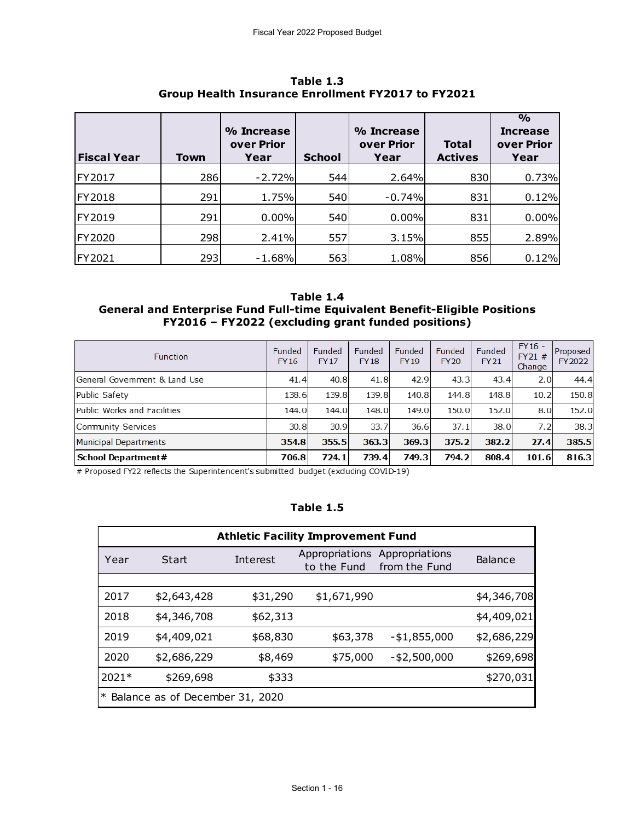| Table 1.3<br>Group Health Insurance Enrollment FY2017 to FY2021 |      |                                  |               |                                  |                                |                                                        |  |  |
|-----------------------------------------------------------------|------|----------------------------------|---------------|----------------------------------|--------------------------------|--------------------------------------------------------|--|--|
| <b>Fiscal Year</b>                                              | Town | % Increase<br>over Prior<br>Year | <b>School</b> | % Increase<br>over Prior<br>Year | <b>Total</b><br><b>Actives</b> | $\frac{0}{0}$<br><b>Increase</b><br>over Prior<br>Year |  |  |
| FY2017                                                          | 286  | $-2.72%$                         | 544           | 2.64%                            | 830                            | 0.73%                                                  |  |  |
| FY2018                                                          | 291  | 1.75%                            | 540           | $-0.74%$                         | 831                            | 0.12%                                                  |  |  |
| FY2019                                                          | 291  | 0.00%                            | 540           | 0.00%                            | 831                            | 0.00%                                                  |  |  |
| FY2020                                                          | 298  | 2.41%                            | 557           | 3.15%                            | 855                            | 2.89%                                                  |  |  |
| FY2021                                                          | 293  | $-1.68%$                         | 563           | 1.08%                            | 856                            | 0.12%                                                  |  |  |

**Table 1.3 Group Health Insurance Enrollment FY2017 to FY2021**

#### **Table 1.4 General and Enterprise Fund Full-time Equivalent Benefit-Eligible Positions FY2016 – FY2022 (excluding grant funded positions)**

| <b>Function</b>               | Funded<br><b>FY16</b> | Funded<br><b>FY17</b> | Funded<br><b>FY18</b> | Funded<br><b>FY19</b> | Funded<br><b>FY20</b> | Funded<br><b>FY21</b> | $FY16 -$<br>FY21#<br>Change | Proposed<br>FY2022 |
|-------------------------------|-----------------------|-----------------------|-----------------------|-----------------------|-----------------------|-----------------------|-----------------------------|--------------------|
| General Government & Land Use | 41.4                  | 40.8                  | 41.8                  | 42.9                  | 43.3                  | 43.4                  | 2.0                         | 44.4               |
| Public Safety                 | 138.6                 | 139.8                 | 139.8                 | 140.8                 | 144.8                 | 148.8                 | 10.2                        | 150.8              |
| Public Works and Facilities   | 144.0                 | 144.0                 | 148.0                 | 149.0                 | 150.0                 | 152.0                 | 8.0                         | 152.0              |
| Community Services            | 30.8                  | 30.9                  | 33.7                  | 36.6                  | 37.1                  | 38.0                  | 7.2                         | 38.3               |
| Municipal Departments         | 354.8                 | 355.5                 | 363.3                 | 369.3                 | 375.2                 | 382.2                 | 27.4                        | 385.5              |
| School Department#            | 706.8                 | 724.1                 | 739.4                 | 749.3                 | 794.2                 | 808.4                 | 101.6                       | 816.3              |

# Proposed FY22 reflects the Superintendent's submitted budget (exduding COVID-19)

#### **Table 1.5**

| <b>Athletic Facility Improvement Fund</b> |                                 |          |                               |                                 |                |  |
|-------------------------------------------|---------------------------------|----------|-------------------------------|---------------------------------|----------------|--|
| Year                                      | Start                           | Interest | Appropriations<br>to the Fund | Appropriations<br>from the Fund | <b>Balance</b> |  |
|                                           |                                 |          |                               |                                 |                |  |
| 2017                                      | \$2,643,428                     | \$31,290 | \$1,671,990                   |                                 | \$4,346,708    |  |
| 2018                                      | \$4,346,708                     | \$62,313 |                               |                                 | \$4,409,021    |  |
| 2019                                      | \$4,409,021                     | \$68,830 | \$63,378                      | $- $1,855,000$                  | \$2,686,229    |  |
| 2020                                      | \$2,686,229                     | \$8,469  | \$75,000                      | $-$ \$2,500,000                 | \$269,698      |  |
| 2021*                                     | \$269,698                       | \$333    |                               |                                 | \$270,031      |  |
| $\ast$                                    | Balance as of December 31, 2020 |          |                               |                                 |                |  |